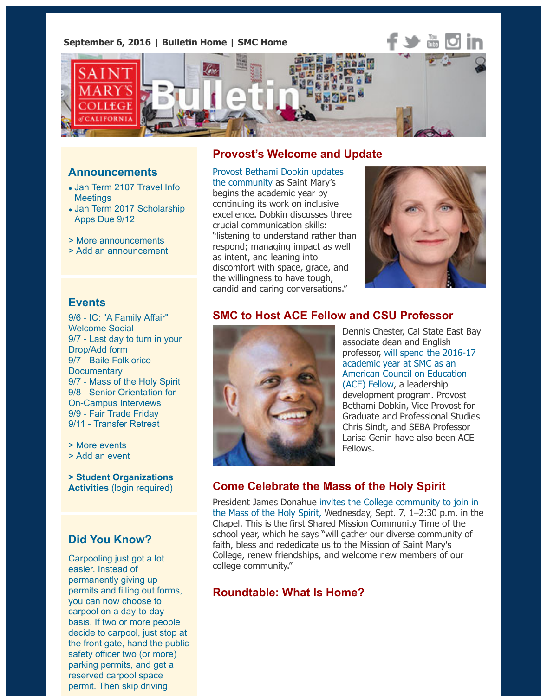

### **Announcements**

- Jan Term 2107 Travel Info **Meetings**
- Jan Term 2017 Scholarship Apps Due 9/12
- > More announcements
- > Add an announcement

## **Provost's Welcome and Update**

Provost Bethami Dobkin updates the community as Saint Mary's begins the academic year by continuing its work on inclusive excellence. Dobkin discusses three crucial communication skills: "listening to understand rather than respond; managing impact as well as intent, and leaning into [discomfort with space, grace, and](http://www.stmarys-ca.edu/provost-welcome-2016?utm_source=Bulletin&utm_medium=email&utm_content=feature_test&utm_campaign=09-06-2016) the willingness to have tough, candid and caring conversations."



### **[Events](http://www.stmarys-ca.edu/jan-term-2107-travel-info-meetings-happening-now?utm_source=Bulletin&utm_medium=email&utm_content=announcement_test&utm_campaign=09-06-2016)**

9[/6 - IC: "A Family Affair"](http://www.stmarys-ca.edu/jan-term-international-travel-scholarship-apps-due-912?utm_source=Bulletin&utm_medium=email&utm_content=announcement_test&utm_campaign=09-06-2016) Welcome Social [9/7 - Last day to turn in y](http://www.stmarys-ca.edu/smc-bulletin/announcements?utm_source=Bulletin&utm_medium=email&utm_content=announcement_test&utm_campaign=09-06-2016)our [Drop/Add form](http://www.stmarys-ca.edu/node/add/announcement?utm_source=Bulletin&utm_medium=email&utm_content=announcement_test&utm_campaign=09-06-2016) 9/7 - Baile Folklorico **Documentary** 9/7 - Mass of the Holy Spirit 9/8 - Senior Orientation for On-Campus Interviews [9/9 - Fair Trade Friday](http://www.stmarys-ca.edu/diversity-welcome?utm_source=Bulletin&utm_medium=email&utm_content=event_test&utm_campaign=09-06-2016) 9/11 - Transfer Retreat

[> More events](http://www.stmarys-ca.edu/last-day-to-turn-in-your-dropadd-form?utm_source=Bulletin&utm_medium=email&utm_content=event_test&utm_campaign=09-06-2016) [> Add an event](http://www.stmarys-ca.edu/reach-baile-folklorico-history-and-art?utm_source=Bulletin&utm_medium=email&utm_content=event_test&utm_campaign=09-06-2016)

**> St[udent Organizations](http://www.stmarys-ca.edu/mass-of-the-holy-spirit-2?utm_source=Bulletin&utm_medium=email&utm_content=event_test&utm_campaign=09-06-2016) Activities** [\(login required\)](http://www.stmarys-ca.edu/career-professional-development-services-senior-orientation?utm_source=Bulletin&utm_medium=email&utm_content=event_test&utm_campaign=09-06-2016)

## **[Did You Kn](http://www.stmarys-ca.edu/events?utm_source=Bulletin&utm_medium=email&utm_content=event_test&utm_campaign=09-06-2016)ow?**

[Carpooling just](http://www.stmarys-ca.edu/node/add/calendar-event?utm_source=Bulletin&utm_medium=email&utm_content=event_test&utm_campaign=09-06-2016) got a lot easier. Instead of [permanently giving up](https://stmarys-ca-community.symplicity.com/) permits and filling out forms, you can now choose to carpool on a day-to-day basis. If two or more people decide to carpool, just stop at the front gate, hand the public safety officer two (or more) parking permits, and get a reserved carpool space permit. Then skip driving

# **SMC to Host ACE Fellow and CSU Professor**



Dennis Chester, Cal State East associate dean and English professor, will spend the 2016academic year at SMC as an American Council on Education (ACE) Fellow, a leadership development program. Provost Bethami Dobkin, Vice Provost Graduate and Professional Stu-Chris Sindt, and SEBA Professor Larisa Genin have also been A Fellows.

## **Come Celebrate the Ma[ss of the Holy Spirit](http://www.stmarys-ca.edu/saint-marys-college-to-host-ace-fellow-csu-professor-dennis-chester?utm_source=Bulletin&utm_medium=email&utm_content=feature_test&utm_campaign=09-06-2016)**

President James Donahue invites the College community to join the Mass of the Holy Spirit, Wednesday, Sept. 7, 1-2:30 p.m. in Chapel. This is the first Shared Mission Community Time of the school year, which he says "will gather our diverse community faith, bless and rededicate us to the Mission of Saint Mary's College, renew friendships, and welcome new members of our college community."

## **[Roundtable: What Is Home?](http://www.stmarys-ca.edu/mass-of-the-holy-spirit-2016?utm_source=Bulletin&utm_medium=email&utm_content=feature_test&utm_campaign=09-06-2016)**